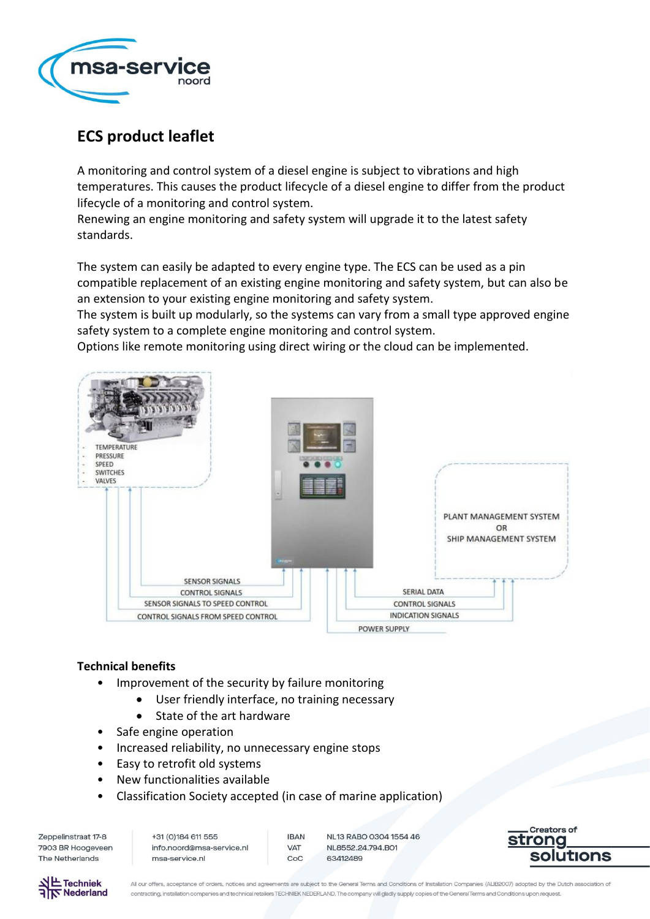

# **ECS product leaflet**

A monitoring and control system of a diesel engine is subject to vibrations and high temperatures. This causes the product lifecycle of a diesel engine to differ from the product lifecycle of a monitoring and control system.

Renewing an engine monitoring and safety system will upgrade it to the latest safety standards.

The system can easily be adapted to every engine type. The ECS can be used as a pin compatible replacement of an existing engine monitoring and safety system, but can also be an extension to your existing engine monitoring and safety system.

The system is built up modularly, so the systems can vary from a small type approved engine safety system to a complete engine monitoring and control system.

Options like remote monitoring using direct wiring or the cloud can be implemented.



## **Technical benefits**

- Improvement of the security by failure monitoring
	- User friendly interface, no training necessary
	- State of the art hardware
- Safe engine operation
- Increased reliability, no unnecessary engine stops
- Easy to retrofit old systems
- New functionalities available
- Classification Society accepted (in case of marine application)

Zeppelinstraat 17-8 7903 BR Hoogeveen The Netherlands

+31 (0) 184 611 555 info.noord@msa-service.nl msa-service.nl

**IBAN VAT**  $C_0C$ 

NL13 RABO 0304 1554 46 NI 8552 24 794 BO1 63412489





All our offers, acceptance of orders, notices and agreements are subject to the General Terms and Conditions of Installation Companies (ALIB2007) adopted by the Dutch association of contracting, installation companies and technical retailers TECHNIEK NEDERLAND. The company will gladly supply copies of the General Terms and Conditions upon request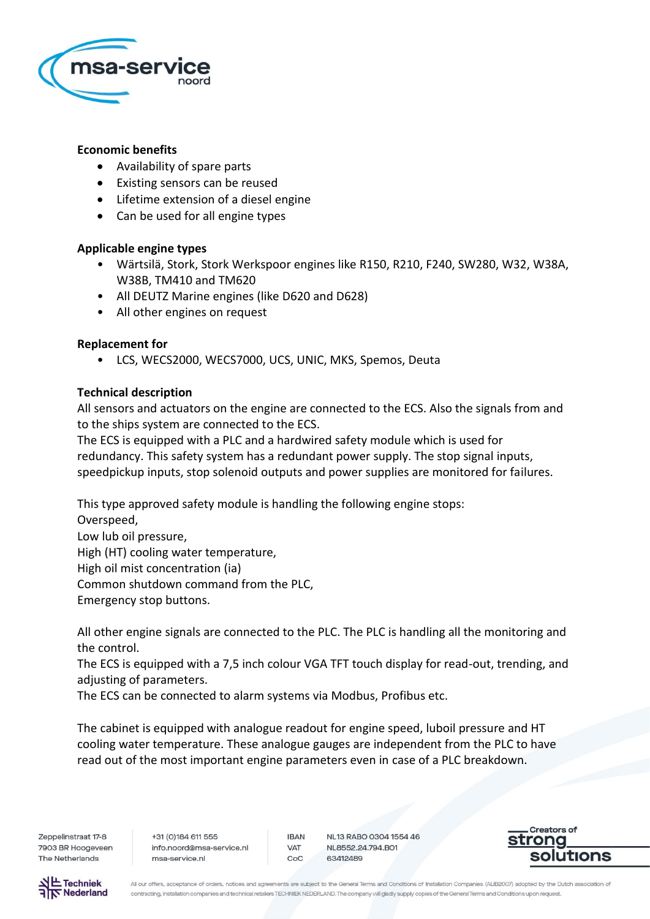

### **Economic benefits**

- Availability of spare parts
- Existing sensors can be reused
- Lifetime extension of a diesel engine
- Can be used for all engine types

### **Applicable engine types**

- Wärtsilä, Stork, Stork Werkspoor engines like R150, R210, F240, SW280, W32, W38A, W38B, TM410 and TM620
- All DEUTZ Marine engines (like D620 and D628)
- All other engines on request

### **Replacement for**

• LCS, WECS2000, WECS7000, UCS, UNIC, MKS, Spemos, Deuta

### **Technical description**

All sensors and actuators on the engine are connected to the ECS. Also the signals from and to the ships system are connected to the ECS.

The ECS is equipped with a PLC and a hardwired safety module which is used for redundancy. This safety system has a redundant power supply. The stop signal inputs, speedpickup inputs, stop solenoid outputs and power supplies are monitored for failures.

This type approved safety module is handling the following engine stops:

Overspeed, Low lub oil pressure, High (HT) cooling water temperature, High oil mist concentration (ia) Common shutdown command from the PLC, Emergency stop buttons.

All other engine signals are connected to the PLC. The PLC is handling all the monitoring and the control.

The ECS is equipped with a 7,5 inch colour VGA TFT touch display for read-out, trending, and adjusting of parameters.

The ECS can be connected to alarm systems via Modbus, Profibus etc.

The cabinet is equipped with analogue readout for engine speed, luboil pressure and HT cooling water temperature. These analogue gauges are independent from the PLC to have read out of the most important engine parameters even in case of a PLC breakdown.

Zeppelinstraat 17-8 7903 BR Hoogeveen The Netherlands

+31 (0) 184 611 555 info.noord@msa-service.nl msa-service.nl

**IBAN VAT** CoC

NL13 RABO 0304 1554 46 NL8552.24.794.BO1 63412489





All our offers, acceptance of orders, notices and agreements are subject to the General Terms and Conditions of Installation Companies (ALIB2007) adopted by the Dutch association of contracting, installation companies and technical retailers TECHNIEK NEDERLAND. The company will gladly supply copies of the General Terms and Conditions upon request